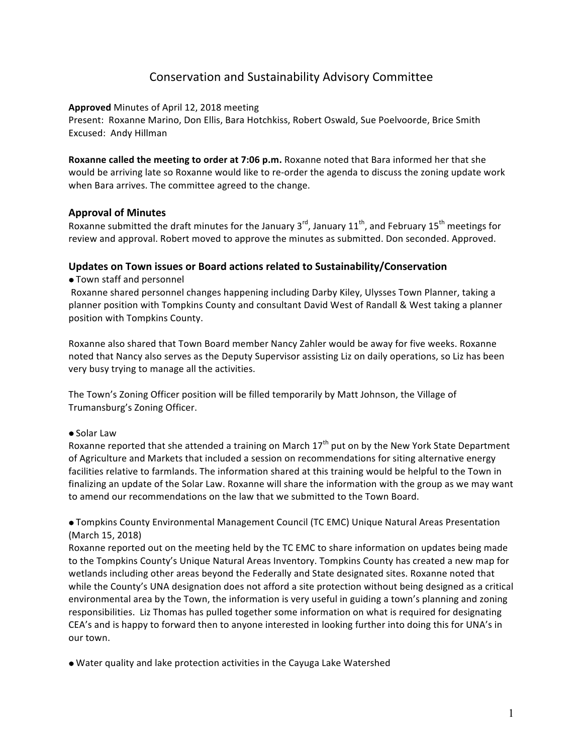# Conservation and Sustainability Advisory Committee

# **Approved** Minutes of April 12, 2018 meeting

Present: Roxanne Marino, Don Ellis, Bara Hotchkiss, Robert Oswald, Sue Poelvoorde, Brice Smith Excused: Andy Hillman

**Roxanne called the meeting to order at 7:06 p.m.** Roxanne noted that Bara informed her that she would be arriving late so Roxanne would like to re-order the agenda to discuss the zoning update work when Bara arrives. The committee agreed to the change.

# **Approval of Minutes**

Roxanne submitted the draft minutes for the January  $3^{rd}$ , January  $11^{th}$ , and February  $15^{th}$  meetings for review and approval. Robert moved to approve the minutes as submitted. Don seconded. Approved.

#### Updates on Town issues or Board actions related to Sustainability/Conservation

• Town staff and personnel

Roxanne shared personnel changes happening including Darby Kiley, Ulysses Town Planner, taking a planner position with Tompkins County and consultant David West of Randall & West taking a planner position with Tompkins County.

Roxanne also shared that Town Board member Nancy Zahler would be away for five weeks. Roxanne noted that Nancy also serves as the Deputy Supervisor assisting Liz on daily operations, so Liz has been very busy trying to manage all the activities.

The Town's Zoning Officer position will be filled temporarily by Matt Johnson, the Village of Trumansburg's Zoning Officer.

#### • Solar Law

Roxanne reported that she attended a training on March  $17<sup>th</sup>$  put on by the New York State Department of Agriculture and Markets that included a session on recommendations for siting alternative energy facilities relative to farmlands. The information shared at this training would be helpful to the Town in finalizing an update of the Solar Law. Roxanne will share the information with the group as we may want to amend our recommendations on the law that we submitted to the Town Board.

• Tompkins County Environmental Management Council (TC EMC) Unique Natural Areas Presentation (March 15, 2018)

Roxanne reported out on the meeting held by the TC EMC to share information on updates being made to the Tompkins County's Unique Natural Areas Inventory. Tompkins County has created a new map for wetlands including other areas beyond the Federally and State designated sites. Roxanne noted that while the County's UNA designation does not afford a site protection without being designed as a critical environmental area by the Town, the information is very useful in guiding a town's planning and zoning responsibilities. Liz Thomas has pulled together some information on what is required for designating CEA's and is happy to forward then to anyone interested in looking further into doing this for UNA's in our town.

• Water quality and lake protection activities in the Cayuga Lake Watershed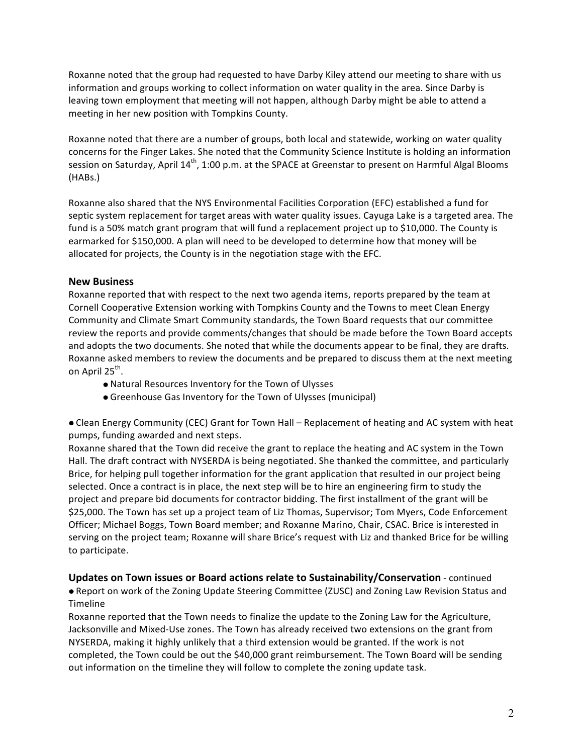Roxanne noted that the group had requested to have Darby Kiley attend our meeting to share with us information and groups working to collect information on water quality in the area. Since Darby is leaving town employment that meeting will not happen, although Darby might be able to attend a meeting in her new position with Tompkins County.

Roxanne noted that there are a number of groups, both local and statewide, working on water quality concerns for the Finger Lakes. She noted that the Community Science Institute is holding an information session on Saturday, April  $14^{th}$ , 1:00 p.m. at the SPACE at Greenstar to present on Harmful Algal Blooms (HABs.)

Roxanne also shared that the NYS Environmental Facilities Corporation (EFC) established a fund for septic system replacement for target areas with water quality issues. Cayuga Lake is a targeted area. The fund is a 50% match grant program that will fund a replacement project up to \$10,000. The County is earmarked for \$150,000. A plan will need to be developed to determine how that money will be allocated for projects, the County is in the negotiation stage with the EFC.

# **New Business**

Roxanne reported that with respect to the next two agenda items, reports prepared by the team at Cornell Cooperative Extension working with Tompkins County and the Towns to meet Clean Energy Community and Climate Smart Community standards, the Town Board requests that our committee review the reports and provide comments/changes that should be made before the Town Board accepts and adopts the two documents. She noted that while the documents appear to be final, they are drafts. Roxanne asked members to review the documents and be prepared to discuss them at the next meeting on April 25<sup>th</sup>.

- Natural Resources Inventory for the Town of Ulysses
- Greenhouse Gas Inventory for the Town of Ulysses (municipal)

• Clean Energy Community (CEC) Grant for Town Hall – Replacement of heating and AC system with heat pumps, funding awarded and next steps.

Roxanne shared that the Town did receive the grant to replace the heating and AC system in the Town Hall. The draft contract with NYSERDA is being negotiated. She thanked the committee, and particularly Brice, for helping pull together information for the grant application that resulted in our project being selected. Once a contract is in place, the next step will be to hire an engineering firm to study the project and prepare bid documents for contractor bidding. The first installment of the grant will be \$25,000. The Town has set up a project team of Liz Thomas, Supervisor; Tom Myers, Code Enforcement Officer; Michael Boggs, Town Board member; and Roxanne Marino, Chair, CSAC. Brice is interested in serving on the project team; Roxanne will share Brice's request with Liz and thanked Brice for be willing to participate.

# **Updates on Town issues or Board actions relate to Sustainability/Conservation** - continued

• Report on work of the Zoning Update Steering Committee (ZUSC) and Zoning Law Revision Status and Timeline

Roxanne reported that the Town needs to finalize the update to the Zoning Law for the Agriculture, Jacksonville and Mixed-Use zones. The Town has already received two extensions on the grant from NYSERDA, making it highly unlikely that a third extension would be granted. If the work is not completed, the Town could be out the \$40,000 grant reimbursement. The Town Board will be sending out information on the timeline they will follow to complete the zoning update task.